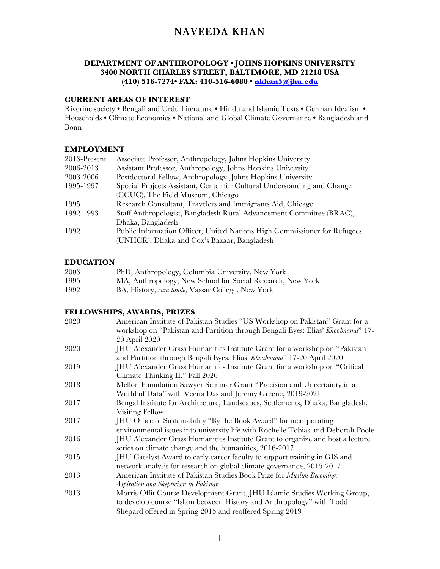#### **DEPARTMENT OF ANTHROPOLOGY • JOHNS HOPKINS UNIVERSITY 3400 NORTH CHARLES STREET, BALTIMORE, MD 21218 USA (410) 516-7274• FAX: 410-516-6080 • nkhan5@jhu.edu**

### **CURRENT AREAS OF INTEREST**

Riverine society **•** Bengali and Urdu Literature **•** Hindu and Islamic Texts **•** German Idealism **•** Households **•** Climate Economics **•** National and Global Climate Governance **•** Bangladesh and Bonn

#### **EMPLOYMENT**

| 2013-Present | Associate Professor, Anthropology, Johns Hopkins University               |
|--------------|---------------------------------------------------------------------------|
| 2006-2013    | Assistant Professor, Anthropology, Johns Hopkins University               |
| 2003-2006    | Postdoctoral Fellow, Anthropology, Johns Hopkins University               |
| 1995-1997    | Special Projects Assistant, Center for Cultural Understanding and Change  |
|              | (CCUC), The Field Museum, Chicago                                         |
| 1995         | Research Consultant, Travelers and Immigrants Aid, Chicago                |
| 1992-1993    | Staff Anthropologist, Bangladesh Rural Advancement Committee (BRAC),      |
|              | Dhaka, Bangladesh                                                         |
| 1992         | Public Information Officer, United Nations High Commissioner for Refugees |
|              | (UNHCR), Dhaka and Cox's Bazaar, Bangladesh                               |
|              |                                                                           |

#### **EDUCATION**

| 2003 | PhD, Anthropology, Columbia University, New York           |
|------|------------------------------------------------------------|
| 1995 | MA, Anthropology, New School for Social Research, New York |
| 1992 | BA, History, cum laude, Vassar College, New York           |

#### **FELLOWSHIPS, AWARDS, PRIZES**

| 2020 | American Institute of Pakistan Studies "US Workshop on Pakistan" Grant for a     |
|------|----------------------------------------------------------------------------------|
|      | workshop on "Pakistan and Partition through Bengali Eyes: Elias' Khoabnama" 17-  |
|      | 20 April 2020                                                                    |
| 2020 | JHU Alexander Grass Humanities Institute Grant for a workshop on "Pakistan"      |
|      | and Partition through Bengali Eyes: Elias' Khoabnama" 17-20 April 2020           |
| 2019 | JHU Alexander Grass Humanities Institute Grant for a workshop on "Critical       |
|      | Climate Thinking II," Fall 2020                                                  |
| 2018 | Mellon Foundation Sawyer Seminar Grant "Precision and Uncertainty in a           |
|      | World of Data" with Veena Das and Jeremy Greene, 2019-2021                       |
| 2017 | Bengal Institute for Architecture, Landscapes, Settlements, Dhaka, Bangladesh,   |
|      | Visiting Fellow                                                                  |
| 2017 | JHU Office of Sustainability "By the Book Award" for incorporating               |
|      | environmental issues into university life with Rochelle Tobias and Deborah Poole |
| 2016 | JHU Alexander Grass Humanities Institute Grant to organize and host a lecture    |
|      | series on climate change and the humanities, 2016-2017.                          |
| 2015 | JHU Catalyst Award to early career faculty to support training in GIS and        |
|      | network analysis for research on global climate governance, 2015-2017            |
| 2013 | American Institute of Pakistan Studies Book Prize for Muslim Becoming:           |
|      | Aspiration and Skepticism in Pakistan                                            |
| 2013 | Morris Offit Course Development Grant, JHU Islamic Studies Working Group,        |
|      | to develop course "Islam between History and Anthropology" with Todd             |
|      | Shepard offered in Spring 2015 and reoffered Spring 2019                         |
|      |                                                                                  |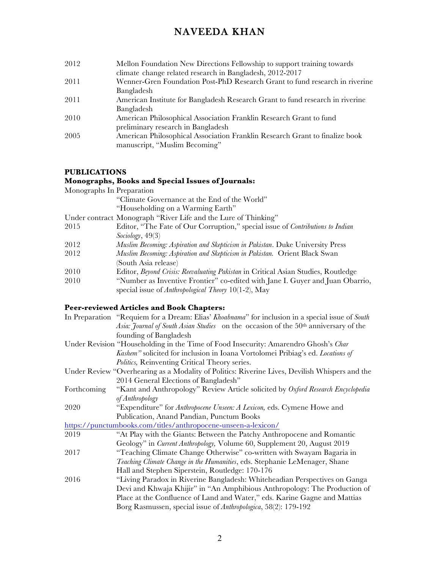- 2012 Mellon Foundation New Directions Fellowship to support training towards climate change related research in Bangladesh, 2012-2017
- 2011 Wenner-Gren Foundation Post-PhD Research Grant to fund research in riverine Bangladesh
- 2011 American Institute for Bangladesh Research Grant to fund research in riverine Bangladesh
- 2010 American Philosophical Association Franklin Research Grant to fund preliminary research in Bangladesh
- 2005 American Philosophical Association Franklin Research Grant to finalize book manuscript, "Muslim Becoming"

#### **PUBLICATIONS**

### **Monographs, Books and Special Issues of Journals:**

| Monographs In Preparation |                                                                                       |
|---------------------------|---------------------------------------------------------------------------------------|
|                           | "Climate Governance at the End of the World"                                          |
|                           | "Householding on a Warming Earth"                                                     |
|                           | Under contract Monograph "River Life and the Lure of Thinking"                        |
| 2015                      | Editor, "The Fate of Our Corruption," special issue of <i>Contributions to Indian</i> |
|                           | Sociology, 49(3)                                                                      |
| 2012                      | Muslim Becoming: Aspiration and Skepticism in Pakistan. Duke University Press         |
| 2012                      | Muslim Becoming: Aspiration and Skepticism in Pakistan. Orient Black Swan             |
|                           | (South Asia release)                                                                  |
| 2010                      | Editor, Beyond Crisis: Reevaluating Pakistan in Critical Asian Studies, Routledge     |
| 2010                      | "Number as Inventive Frontier" co-edited with Jane I. Guyer and Juan Obarrio,         |
|                           | special issue of Anthropological Theory $10(1-2)$ , May                               |

#### **Peer-reviewed Articles and Book Chapters:**

|             | In Preparation "Requiem for a Dream: Elias' Khoabnama" for inclusion in a special issue of South |
|-------------|--------------------------------------------------------------------------------------------------|
|             | Asia: Journal of South Asian Studies on the occasion of the 50 <sup>th</sup> anniversary of the  |
|             | founding of Bangladesh                                                                           |
|             | Under Revision "Householding in the Time of Food Insecurity: Amarendro Ghosh's Char              |
|             | Kashem" solicited for inclusion in Ioana Vortolomei Pribiag's ed. Locations of                   |
|             | <i>Politics</i> , Reinventing Critical Theory series.                                            |
|             | Under Review "Overhearing as a Modality of Politics: Riverine Lives, Devilish Whispers and the   |
|             | 2014 General Elections of Bangladesh"                                                            |
| Forthcoming | "Kant and Anthropology" Review Article solicited by Oxford Research Encyclopedia                 |
|             | of Anthropology                                                                                  |
| 2020        | "Expenditure" for Anthropocene Unseen: A Lexicon, eds. Cymene Howe and                           |
|             | Publication, Anand Pandian, Punctum Books                                                        |
|             | https://punctumbooks.com/titles/anthropocene-unseen-a-lexicon/                                   |
| 2019        | "At Play with the Giants: Between the Patchy Anthropocene and Romantic                           |
|             | Geology" in <i>Current Anthropology</i> , Volume 60, Supplement 20, August 2019                  |
| 2017        | "Teaching Climate Change Otherwise" co-written with Swayam Bagaria in                            |
|             | Teaching Climate Change in the Humanities, eds. Stephanie LeMenager, Shane                       |
|             | Hall and Stephen Siperstein, Routledge: 170-176                                                  |
| 2016        | "Living Paradox in Riverine Bangladesh: Whiteheadian Perspectives on Ganga                       |
|             | Devi and Khwaja Khijir" in "An Amphibious Anthropology: The Production of                        |
|             | Place at the Confluence of Land and Water," eds. Karine Gagne and Mattias                        |
|             | Borg Rasmussen, special issue of <i>Anthropologica</i> , 58(2): 179-192                          |
|             |                                                                                                  |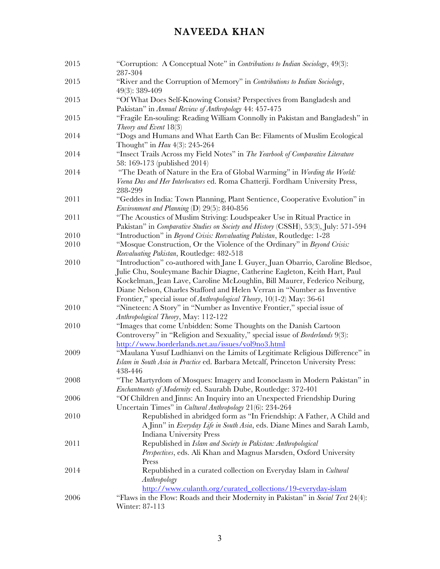| 2015 | "Corruption: A Conceptual Note" in Contributions to Indian Sociology, 49(3):<br>287-304                                                                                                                                                                                                                             |
|------|---------------------------------------------------------------------------------------------------------------------------------------------------------------------------------------------------------------------------------------------------------------------------------------------------------------------|
| 2015 | "River and the Corruption of Memory" in Contributions to Indian Sociology,<br>49(3): 389-409                                                                                                                                                                                                                        |
| 2015 | "Of What Does Self-Knowing Consist? Perspectives from Bangladesh and<br>Pakistan" in Annual Review of Anthropology 44: 457-475                                                                                                                                                                                      |
| 2015 | "Fragile En-souling: Reading William Connolly in Pakistan and Bangladesh" in<br>Theory and Event $18(3)$                                                                                                                                                                                                            |
| 2014 | "Dogs and Humans and What Earth Can Be: Filaments of Muslim Ecological<br>Thought" in <i>Hau</i> 4(3): 245-264                                                                                                                                                                                                      |
| 2014 | "Insect Trails Across my Field Notes" in The Yearbook of Comparative Literature<br>58: 169-173 (published 2014)                                                                                                                                                                                                     |
| 2014 | "The Death of Nature in the Era of Global Warming" in Wording the World:<br>Veena Das and Her Interlocutors ed. Roma Chatterji. Fordham University Press,<br>288-299                                                                                                                                                |
| 2011 | "Geddes in India: Town Planning, Plant Sentience, Cooperative Evolution" in<br>Environment and Planning (D) 29(5): 840-856                                                                                                                                                                                          |
| 2011 | "The Acoustics of Muslim Striving: Loudspeaker Use in Ritual Practice in<br>Pakistan" in <i>Comparative Studies on Society and History</i> (CSSH), 53(3), July: 571-594                                                                                                                                             |
| 2010 | "Introduction" in Beyond Crisis: Reevaluating Pakistan, Routledge: 1-28                                                                                                                                                                                                                                             |
| 2010 | "Mosque Construction, Or the Violence of the Ordinary" in Beyond Crisis:<br>Reevaluating Pakistan, Routledge: 482-518                                                                                                                                                                                               |
| 2010 | "Introduction" co-authored with Jane I. Guyer, Juan Obarrio, Caroline Bledsoe,<br>Julie Chu, Souleymane Bachir Diagne, Catherine Eagleton, Keith Hart, Paul<br>Kockelman, Jean Lave, Caroline McLoughlin, Bill Maurer, Federico Neiburg,<br>Diane Nelson, Charles Stafford and Helen Verran in "Number as Inventive |
| 2010 | Frontier," special issue of Anthropological Theory, 10(1-2) May: 36-61<br>"Nineteen: A Story" in "Number as Inventive Frontier," special issue of<br>Anthropological Theory, May: 112-122                                                                                                                           |
| 2010 | "Images that come Unbidden: Some Thoughts on the Danish Cartoon<br>Controversy" in "Religion and Sexuality," special issue of Borderlands 9(3):<br>http://www.borderlands.net.au/issues/vol9no3.html                                                                                                                |
| 2009 | "Maulana Yusuf Ludhianvi on the Limits of Legitimate Religious Difference" in<br>Islam in South Asia in Practice ed. Barbara Metcalf, Princeton University Press:<br>438-446                                                                                                                                        |
| 2008 | "The Martyrdom of Mosques: Imagery and Iconoclasm in Modern Pakistan" in<br>Enchantments of Modernity ed. Saurabh Dube, Routledge: 372-401                                                                                                                                                                          |
| 2006 | "Of Children and Jinns: An Inquiry into an Unexpected Friendship During<br>Uncertain Times" in Cultural Anthropology 21(6): 234-264                                                                                                                                                                                 |
| 2010 | Republished in abridged form as "In Friendship: A Father, A Child and<br>A Jinn" in Everyday Life in South Asia, eds. Diane Mines and Sarah Lamb,<br>Indiana University Press                                                                                                                                       |
| 2011 | Republished in Islam and Society in Pakistan: Anthropological<br>Perspectives, eds. Ali Khan and Magnus Marsden, Oxford University<br>Press                                                                                                                                                                         |
| 2014 | Republished in a curated collection on Everyday Islam in Cultural<br>Anthropology<br>http://www.culanth.org/curated_collections/19-everyday-islam                                                                                                                                                                   |
| 2006 | "Flaws in the Flow: Roads and their Modernity in Pakistan" in Social Text 24(4):<br>Winter: 87-113                                                                                                                                                                                                                  |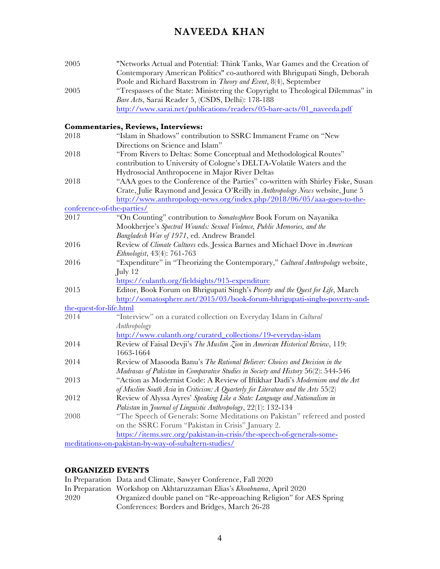| 2005                    | "Networks Actual and Potential: Think Tanks, War Games and the Creation of<br>Contemporary American Politics" co-authored with Bhrigupati Singh, Deborah                                                |
|-------------------------|---------------------------------------------------------------------------------------------------------------------------------------------------------------------------------------------------------|
| 2005                    | Poole and Richard Baxstrom in Theory and Event, 8(4), September<br>"Trespasses of the State: Ministering the Copyright to Theological Dilemmas" in<br>Bare Acts, Sarai Reader 5, (CSDS, Delhi): 178-188 |
|                         | http://www.sarai.net/publications/readers/05-bare-acts/01_naveeda.pdf                                                                                                                                   |
|                         | Commentaries, Reviews, Interviews:                                                                                                                                                                      |
| 2018                    | "Islam in Shadows" contribution to SSRC Immanent Frame on "New                                                                                                                                          |
|                         | Directions on Science and Islam"                                                                                                                                                                        |
| 2018                    | "From Rivers to Deltas: Some Conceptual and Methodological Routes"                                                                                                                                      |
|                         | contribution to University of Cologne's DELTA-Volatile Waters and the                                                                                                                                   |
|                         | Hydrosocial Anthropocene in Major River Deltas                                                                                                                                                          |
| 2018                    | "AAA goes to the Conference of the Parties" co-written with Shirley Fiske, Susan                                                                                                                        |
|                         | Crate, Julie Raymond and Jessica O'Reilly in Anthropology News website, June 5                                                                                                                          |
|                         | http://www.anthropology-news.org/index.php/2018/06/05/aaa-goes-to-the-                                                                                                                                  |
|                         | conference-of-the-parties/                                                                                                                                                                              |
| 2017                    | "On Counting" contribution to Somatosphere Book Forum on Nayanika                                                                                                                                       |
|                         | Mookherjee's Spectral Wounds: Sexual Violence, Public Memories, and the                                                                                                                                 |
|                         | Bangladesh War of 1971, ed. Andrew Brandel                                                                                                                                                              |
| 2016                    | Review of Climate Cultures eds. Jessica Barnes and Michael Dove in American                                                                                                                             |
|                         | Ethnologist, 43(4): 761-763                                                                                                                                                                             |
| 2016                    | "Expenditure" in "Theorizing the Contemporary," Cultural Anthropology website,                                                                                                                          |
|                         | July 12                                                                                                                                                                                                 |
| 2015                    | https://culanth.org/fieldsights/915-expenditure                                                                                                                                                         |
|                         | Editor, Book Forum on Bhrigupati Singh's Poverty and the Quest for Life, March<br>http://somatosphere.net/2015/03/book-forum-bhrigupati-singhs-poverty-and-                                             |
| the-quest-for-life.html |                                                                                                                                                                                                         |
| 2014                    | "Interview" on a curated collection on Everyday Islam in Cultural<br>Anthropology                                                                                                                       |
|                         | http://www.culanth.org/curated_collections/19-everyday-islam                                                                                                                                            |
| 2014                    | Review of Faisal Devii's The Muslim Zion in American Historical Review, 119:<br>1663-1664                                                                                                               |
| 2014                    | Review of Masooda Banu's The Rational Believer: Choices and Decision in the                                                                                                                             |
|                         | Madrasas of Pakistan in Comparative Studies in Society and History 56(2): 544-546                                                                                                                       |
| 2013                    | "Action as Modernist Code: A Review of Iftikhar Dadi's Modernism and the Art                                                                                                                            |
|                         | of Muslim South Asia in Criticism: A Quarterly for Literature and the Arts $55(2)$                                                                                                                      |
| 2012                    | Review of Alyssa Ayres' Speaking Like a State: Language and Nationalism in                                                                                                                              |
|                         | Pakistan in Journal of Linguistic Anthropology, 22(1): 132-134                                                                                                                                          |
| 2008                    | "The Speech of Generals: Some Meditations on Pakistan" refereed and posted                                                                                                                              |
|                         | on the SSRC Forum "Pakistan in Crisis" January 2.                                                                                                                                                       |
|                         | https://items.ssrc.org/pakistan-in-crisis/the-speech-of-generals-some-                                                                                                                                  |
|                         | meditations-on-pakistan-by-way-of-subaltern-studies/                                                                                                                                                    |

### **ORGANIZED EVENTS**

|      | In Preparation Data and Climate, Sawyer Conference, Fall 2020          |
|------|------------------------------------------------------------------------|
|      | In Preparation Workshop on Akhtaruzzaman Elias's Khoabnama, April 2020 |
| 2020 | Organized double panel on "Re-approaching Religion" for AES Spring     |
|      | Conferences: Borders and Bridges, March 26-28                          |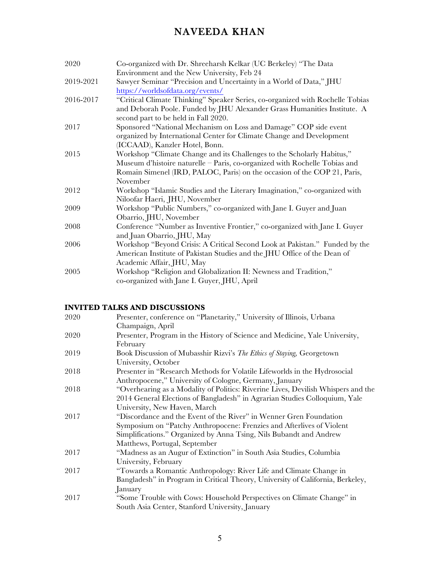| 2020      | Co-organized with Dr. Shreeharsh Kelkar (UC Berkeley) "The Data                                                                                           |
|-----------|-----------------------------------------------------------------------------------------------------------------------------------------------------------|
|           | Environment and the New University, Feb 24                                                                                                                |
| 2019-2021 | Sawyer Seminar "Precision and Uncertainty in a World of Data," JHU                                                                                        |
|           | https://worldsofdata.org/events/                                                                                                                          |
| 2016-2017 | "Critical Climate Thinking" Speaker Series, co-organized with Rochelle Tobias<br>and Deborah Poole. Funded by JHU Alexander Grass Humanities Institute. A |
|           | second part to be held in Fall 2020.                                                                                                                      |
| 2017      | Sponsored "National Mechanism on Loss and Damage" COP side event                                                                                          |
|           | organized by International Center for Climate Change and Development                                                                                      |
|           | (ICCAAD), Kanzler Hotel, Bonn.                                                                                                                            |
| 2015      | Workshop "Climate Change and its Challenges to the Scholarly Habitus,"                                                                                    |
|           | Museum d'histoire naturelle – Paris, co-organized with Rochelle Tobias and                                                                                |
|           | Romain Simenel (IRD, PALOC, Paris) on the occasion of the COP 21, Paris,                                                                                  |
|           | November                                                                                                                                                  |
| 2012      | Workshop "Islamic Studies and the Literary Imagination," co-organized with                                                                                |
|           | Niloofar Haeri, JHU, November                                                                                                                             |
| 2009      | Workshop "Public Numbers," co-organized with Jane I. Guyer and Juan                                                                                       |
|           | Obarrio, JHU, November                                                                                                                                    |
| 2008      | Conference "Number as Inventive Frontier," co-organized with Jane I. Guyer                                                                                |
|           | and Juan Obarrio, JHU, May                                                                                                                                |
| 2006      | Workshop "Beyond Crisis: A Critical Second Look at Pakistan." Funded by the                                                                               |
|           | American Institute of Pakistan Studies and the JHU Office of the Dean of                                                                                  |
|           | Academic Affair, JHU, May                                                                                                                                 |
| 2005      | Workshop "Religion and Globalization II: Newness and Tradition,"                                                                                          |
|           | co-organized with Jane I. Guyer, JHU, April                                                                                                               |

### **INVITED TALKS AND DISCUSSIONS**

| 2020 | Presenter, conference on "Planetarity," University of Illinois, Urbana            |
|------|-----------------------------------------------------------------------------------|
|      | Champaign, April                                                                  |
| 2020 | Presenter, Program in the History of Science and Medicine, Yale University,       |
|      | February                                                                          |
| 2019 | Book Discussion of Mubasshir Rizvi's <i>The Ethics of Staying</i> , Georgetown    |
|      | University, October                                                               |
| 2018 | Presenter in "Research Methods for Volatile Lifeworlds in the Hydrosocial         |
|      | Anthropocene," University of Cologne, Germany, January                            |
| 2018 | "Overhearing as a Modality of Politics: Riverine Lives, Devilish Whispers and the |
|      | 2014 General Elections of Bangladesh" in Agrarian Studies Colloquium, Yale        |
|      | University, New Haven, March                                                      |
| 2017 | "Discordance and the Event of the River" in Wenner Gren Foundation                |
|      | Symposium on "Patchy Anthropocene: Frenzies and Afterlives of Violent             |
|      | Simplifications." Organized by Anna Tsing, Nils Bubandt and Andrew                |
|      | Matthews, Portugal, September                                                     |
| 2017 | "Madness as an Augur of Extinction" in South Asia Studies, Columbia               |
|      | University, February                                                              |
| 2017 | "Towards a Romantic Anthropology: River Life and Climate Change in                |
|      | Bangladesh" in Program in Critical Theory, University of California, Berkeley,    |
|      | January                                                                           |
| 2017 | "Some Trouble with Cows: Household Perspectives on Climate Change" in             |
|      | South Asia Center, Stanford University, January                                   |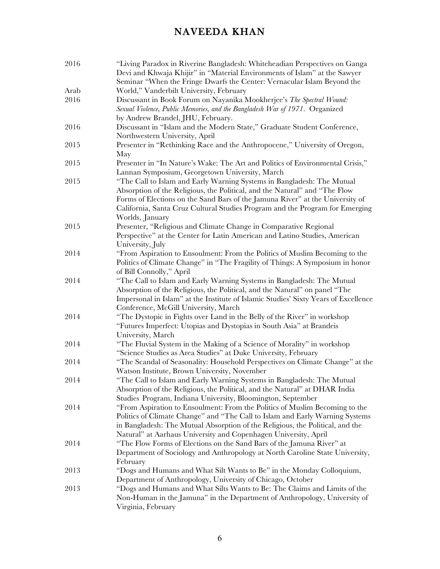| 2016 | "Living Paradox in Riverine Bangladesh: Whiteheadian Perspectives on Ganga<br>Devi and Khwaja Khijir" in "Material Environments of Islam" at the Sawyer |
|------|---------------------------------------------------------------------------------------------------------------------------------------------------------|
|      | Seminar "When the Fringe Dwarfs the Center: Vernacular Islam Beyond the                                                                                 |
| Arab | World," Vanderbilt University, February                                                                                                                 |
| 2016 | Discussant in Book Forum on Nayanika Mookherjee's The Spectral Wound:<br>Sexual Violence, Public Memories, and the Bangladesh War of 1971. Organized    |
|      | by Andrew Brandel, JHU, February.                                                                                                                       |
| 2016 | Discussant in "Islam and the Modern State," Graduate Student Conference,                                                                                |
|      | Northwestern University, April                                                                                                                          |
| 2015 | Presenter in "Rethinking Race and the Anthropocene," University of Oregon,<br>May                                                                       |
| 2015 | Presenter in "In Nature's Wake: The Art and Politics of Environmental Crisis,"<br>Lannan Symposium, Georgetown University, March                        |
| 2015 | "The Call to Islam and Early Warning Systems in Bangladesh: The Mutual                                                                                  |
|      | Absorption of the Religious, the Political, and the Natural" and "The Flow                                                                              |
|      | Forms of Elections on the Sand Bars of the Jamuna River" at the University of                                                                           |
|      | California, Santa Cruz Cultural Studies Program and the Program for Emerging                                                                            |
|      | Worlds, January                                                                                                                                         |
| 2015 | Presenter, "Religious and Climate Change in Comparative Regional                                                                                        |
|      | Perspective" at the Center for Latin American and Latino Studies, American                                                                              |
|      | University, July                                                                                                                                        |
| 2014 | "From Aspiration to Ensoulment: From the Politics of Muslim Becoming to the                                                                             |
|      | Politics of Climate Change" in "The Fragility of Things: A Symposium in honor                                                                           |
|      | of Bill Connolly," April                                                                                                                                |
| 2014 | "The Call to Islam and Early Warning Systems in Bangladesh: The Mutual                                                                                  |
|      | Absorption of the Religious, the Political, and the Natural" on panel "The                                                                              |
|      | Impersonal in Islam" at the Institute of Islamic Studies' Sixty Years of Excellence                                                                     |
|      | Conference, McGill University, March                                                                                                                    |
| 2014 | "The Dystopic in Fights over Land in the Belly of the River" in workshop                                                                                |
|      | "Futures Imperfect: Utopias and Dystopias in South Asia" at Brandeis                                                                                    |
|      | University, March                                                                                                                                       |
| 2014 | "The Fluvial System in the Making of a Science of Morality" in workshop                                                                                 |
|      | "Science Studies as Area Studies" at Duke University, February                                                                                          |
| 2014 | "The Scandal of Seasonality: Household Perspectives on Climate Change" at the                                                                           |
|      | Watson Institute, Brown University, November                                                                                                            |
| 2014 | "The Call to Islam and Early Warning Systems in Bangladesh: The Mutual                                                                                  |
|      | Absorption of the Religious, the Political, and the Natural" at DHAR India                                                                              |
| 2014 | Studies Program, Indiana University, Bloomington, September<br>"From Aspiration to Ensoulment: From the Politics of Muslim Becoming to the              |
|      | Politics of Climate Change" and "The Call to Islam and Early Warning Systems                                                                            |
|      | in Bangladesh: The Mutual Absorption of the Religious, the Political, and the                                                                           |
|      | Natural" at Aarhaus University and Copenhagen University, April                                                                                         |
| 2014 | "The Flow Forms of Elections on the Sand Bars of the Jamuna River" at                                                                                   |
|      | Department of Sociology and Anthropology at North Caroline State University,                                                                            |
|      | February                                                                                                                                                |
| 2013 | "Dogs and Humans and What Silt Wants to Be" in the Monday Colloquium,                                                                                   |
|      | Department of Anthropology, University of Chicago, October                                                                                              |
| 2013 | "Dogs and Humans and What Silts Wants to Be: The Claims and Limits of the                                                                               |
|      | Non-Human in the Jamuna" in the Department of Anthropology, University of                                                                               |
|      | Virginia, February                                                                                                                                      |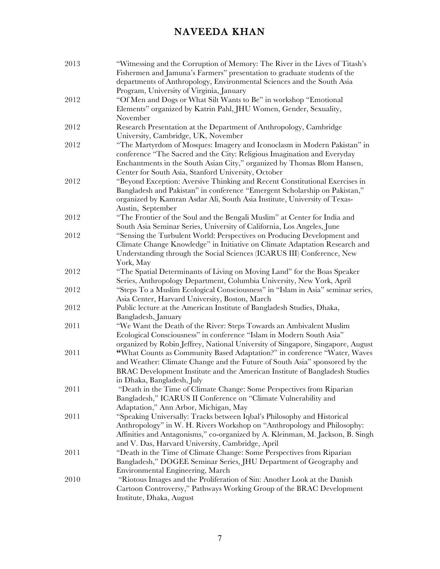| 2013 | "Witnessing and the Corruption of Memory: The River in the Lives of Titash's    |
|------|---------------------------------------------------------------------------------|
|      | Fishermen and Jamuna's Farmers" presentation to graduate students of the        |
|      | departments of Anthropology, Environmental Sciences and the South Asia          |
|      | Program, University of Virginia, January                                        |
| 2012 | "Of Men and Dogs or What Silt Wants to Be" in workshop "Emotional               |
|      | Elements" organized by Katrin Pahl, JHU Women, Gender, Sexuality,               |
|      | November                                                                        |
| 2012 | Research Presentation at the Department of Anthropology, Cambridge              |
|      | University, Cambridge, UK, November                                             |
| 2012 | "The Martyrdom of Mosques: Imagery and Iconoclasm in Modern Pakistan" in        |
|      | conference "The Sacred and the City: Religious Imagination and Everyday         |
|      | Enchantments in the South Asian City," organized by Thomas Blom Hansen,         |
|      | Center for South Asia, Stanford University, October                             |
| 2012 | "Beyond Exception: Aversive Thinking and Recent Constitutional Exercises in     |
|      | Bangladesh and Pakistan" in conference "Emergent Scholarship on Pakistan,"      |
|      | organized by Kamran Asdar Ali, South Asia Institute, University of Texas-       |
|      | Austin, September                                                               |
| 2012 | "The Frontier of the Soul and the Bengali Muslim" at Center for India and       |
|      | South Asia Seminar Series, University of California, Los Angeles, June          |
| 2012 | "Sensing the Turbulent World: Perspectives on Producing Development and         |
|      | Climate Change Knowledge" in Initiative on Climate Adaptation Research and      |
|      | Understanding through the Social Sciences (ICARUS III) Conference, New          |
|      | York, May                                                                       |
| 2012 | "The Spatial Determinants of Living on Moving Land" for the Boas Speaker        |
|      | Series, Anthropology Department, Columbia University, New York, April           |
| 2012 | "Steps To a Muslim Ecological Consciousness" in "Islam in Asia" seminar series, |
|      | Asia Center, Harvard University, Boston, March                                  |
| 2012 | Public lecture at the American Institute of Bangladesh Studies, Dhaka,          |
|      | Bangladesh, January                                                             |
| 2011 | "We Want the Death of the River: Steps Towards an Ambivalent Muslim             |
|      | Ecological Consciousness" in conference "Islam in Modern South Asia"            |
|      | organized by Robin Jeffrey, National University of Singapore, Singapore, August |
| 2011 | "What Counts as Community Based Adaptation?" in conference "Water, Waves        |
|      | and Weather: Climate Change and the Future of South Asia" sponsored by the      |
|      | BRAC Development Institute and the American Institute of Bangladesh Studies     |
|      | in Dhaka, Bangladesh, July                                                      |
| 2011 | "Death in the Time of Climate Change: Some Perspectives from Riparian           |
|      | Bangladesh," ICARUS II Conference on "Climate Vulnerability and                 |
|      | Adaptation," Ann Arbor, Michigan, May                                           |
| 2011 | "Speaking Universally: Tracks between Iqbal's Philosophy and Historical         |
|      | Anthropology" in W. H. Rivers Workshop on "Anthropology and Philosophy:         |
|      | Affinities and Antagonisms," co-organized by A. Kleinman, M. Jackson, B. Singh  |
|      | and V. Das, Harvard University, Cambridge, April                                |
| 2011 | "Death in the Time of Climate Change: Some Perspectives from Riparian           |
|      | Bangladesh," DOGEE Seminar Series, JHU Department of Geography and              |
|      | Environmental Engineering, March                                                |
| 2010 | "Riotous Images and the Proliferation of Sin: Another Look at the Danish        |
|      | Cartoon Controversy," Pathways Working Group of the BRAC Development            |
|      | Institute, Dhaka, August                                                        |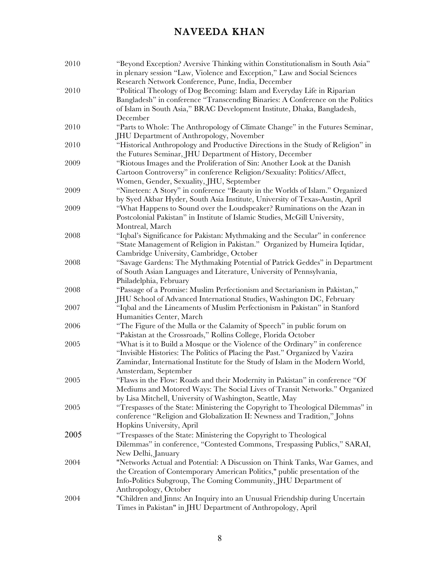| 2010 | "Beyond Exception? Aversive Thinking within Constitutionalism in South Asia"    |
|------|---------------------------------------------------------------------------------|
|      | in plenary session "Law, Violence and Exception," Law and Social Sciences       |
|      | Research Network Conference, Pune, India, December                              |
| 2010 | "Political Theology of Dog Becoming: Islam and Everyday Life in Riparian        |
|      | Bangladesh" in conference "Transcending Binaries: A Conference on the Politics  |
|      | of Islam in South Asia," BRAC Development Institute, Dhaka, Bangladesh,         |
|      | December                                                                        |
| 2010 | "Parts to Whole: The Anthropology of Climate Change" in the Futures Seminar,    |
|      | <b>JHU Department of Anthropology, November</b>                                 |
| 2010 | "Historical Anthropology and Productive Directions in the Study of Religion" in |
|      | the Futures Seminar, JHU Department of History, December                        |
| 2009 | "Riotous Images and the Proliferation of Sin: Another Look at the Danish        |
|      | Cartoon Controversy" in conference Religion/Sexuality: Politics/Affect,         |
|      | Women, Gender, Sexuality, JHU, September                                        |
| 2009 | "Nineteen: A Story" in conference "Beauty in the Worlds of Islam." Organized    |
|      | by Syed Akbar Hyder, South Asia Institute, University of Texas-Austin, April    |
| 2009 | "What Happens to Sound over the Loudspeaker? Ruminations on the Azan in         |
|      | Postcolonial Pakistan" in Institute of Islamic Studies, McGill University,      |
|      | Montreal, March                                                                 |
| 2008 | "Iqbal's Significance for Pakistan: Mythmaking and the Secular" in conference   |
|      | "State Management of Religion in Pakistan." Organized by Humeira Iqtidar,       |
|      | Cambridge University, Cambridge, October                                        |
| 2008 | "Savage Gardens: The Mythmaking Potential of Patrick Geddes" in Department      |
|      | of South Asian Languages and Literature, University of Pennsylvania,            |
|      | Philadelphia, February                                                          |
| 2008 | "Passage of a Promise: Muslim Perfectionism and Sectarianism in Pakistan,"      |
|      | JHU School of Advanced International Studies, Washington DC, February           |
| 2007 | "Iqbal and the Lineaments of Muslim Perfectionism in Pakistan" in Stanford      |
|      | Humanities Center, March                                                        |
| 2006 | "The Figure of the Mulla or the Calamity of Speech" in public forum on          |
|      | "Pakistan at the Crossroads," Rollins College, Florida October                  |
| 2005 | "What is it to Build a Mosque or the Violence of the Ordinary" in conference    |
|      | "Invisible Histories: The Politics of Placing the Past." Organized by Vazira    |
|      | Zamindar, International Institute for the Study of Islam in the Modern World,   |
|      | Amsterdam, September                                                            |
| 2005 | "Flaws in the Flow: Roads and their Modernity in Pakistan" in conference "Of    |
|      | Mediums and Motored Ways: The Social Lives of Transit Networks." Organized      |
|      | by Lisa Mitchell, University of Washington, Seattle, May                        |
| 2005 | "Trespasses of the State: Ministering the Copyright to Theological Dilemmas" in |
|      | conference "Religion and Globalization II: Newness and Tradition," Johns        |
|      | Hopkins University, April                                                       |
| 2005 | "Trespasses of the State: Ministering the Copyright to Theological              |
|      | Dilemmas" in conference, "Contested Commons, Trespassing Publics," SARAI,       |
|      | New Delhi, January                                                              |
| 2004 | "Networks Actual and Potential: A Discussion on Think Tanks, War Games, and     |
|      | the Creation of Contemporary American Politics," public presentation of the     |
|      | Info-Politics Subgroup, The Coming Community, JHU Department of                 |
|      | Anthropology, October                                                           |
| 2004 | "Children and Jinns: An Inquiry into an Unusual Friendship during Uncertain     |
|      | Times in Pakistan" in JHU Department of Anthropology, April                     |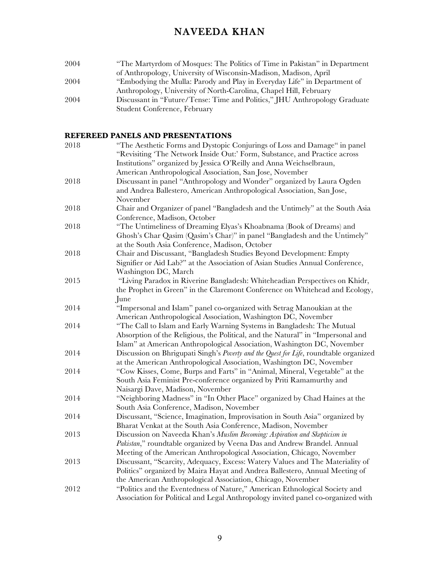2004 "The Martyrdom of Mosques: The Politics of Time in Pakistan" in Department of Anthropology, University of Wisconsin-Madison, Madison, April 2004 "Embodying the Mulla: Parody and Play in Everyday Life" in Department of Anthropology, University of North-Carolina, Chapel Hill, February 2004 Discussant in "Future/Tense: Time and Politics," JHU Anthropology Graduate Student Conference, February

#### **REFEREED PANELS AND PRESENTATIONS**

| 2018 | "The Aesthetic Forms and Dystopic Conjurings of Loss and Damage" in panel<br>"Revisiting 'The Network Inside Out:' Form, Substance, and Practice across |
|------|---------------------------------------------------------------------------------------------------------------------------------------------------------|
|      | Institutions" organized by Jessica O'Reilly and Anna Weichselbraun,                                                                                     |
|      | American Anthropological Association, San Jose, November                                                                                                |
| 2018 | Discussant in panel "Anthropology and Wonder" organized by Laura Ogden                                                                                  |
|      | and Andrea Ballestero, American Anthropological Association, San Jose,                                                                                  |
|      | November                                                                                                                                                |
| 2018 | Chair and Organizer of panel "Bangladesh and the Untimely" at the South Asia                                                                            |
|      | Conference, Madison, October                                                                                                                            |
| 2018 | "The Untimeliness of Dreaming Elyas's Khoabnama (Book of Dreams) and                                                                                    |
|      | Ghosh's Char Qasim (Qasim's Char)" in panel "Bangladesh and the Untimely"                                                                               |
|      | at the South Asia Conference, Madison, October                                                                                                          |
| 2018 | Chair and Discussant, "Bangladesh Studies Beyond Development: Empty                                                                                     |
|      | Signifier or Aid Lab?" at the Association of Asian Studies Annual Conference,                                                                           |
|      | Washington DC, March                                                                                                                                    |
| 2015 | "Living Paradox in Riverine Bangladesh: Whiteheadian Perspectives on Khidr,                                                                             |
|      | the Prophet in Green" in the Claremont Conference on Whitehead and Ecology,                                                                             |
|      | June                                                                                                                                                    |
| 2014 | "Impersonal and Islam" panel co-organized with Setrag Manoukian at the                                                                                  |
|      | American Anthropological Association, Washington DC, November                                                                                           |
| 2014 | "The Call to Islam and Early Warning Systems in Bangladesh: The Mutual                                                                                  |
|      | Absorption of the Religious, the Political, and the Natural" in "Impersonal and                                                                         |
|      | Islam" at American Anthropological Association, Washington DC, November                                                                                 |
| 2014 | Discussion on Bhrigupati Singh's Poverty and the Quest for Life, roundtable organized                                                                   |
|      | at the American Anthropological Association, Washington DC, November                                                                                    |
| 2014 | "Cow Kisses, Come, Burps and Farts" in "Animal, Mineral, Vegetable" at the                                                                              |
|      | South Asia Feminist Pre-conference organized by Priti Ramamurthy and                                                                                    |
|      | Naisargi Dave, Madison, November                                                                                                                        |
| 2014 | "Neighboring Madness" in "In Other Place" organized by Chad Haines at the                                                                               |
|      | South Asia Conference, Madison, November                                                                                                                |
| 2014 | Discussant, "Science, Imagination, Improvisation in South Asia" organized by                                                                            |
|      | Bharat Venkat at the South Asia Conference, Madison, November                                                                                           |
| 2013 | Discussion on Naveeda Khan's Muslim Becoming: Aspiration and Skepticism in                                                                              |
|      | Pakistan," roundtable organized by Veena Das and Andrew Brandel. Annual                                                                                 |
|      | Meeting of the American Anthropological Association, Chicago, November                                                                                  |
| 2013 | Discussant, "Scarcity, Adequacy, Excess: Watery Values and The Materiality of                                                                           |
|      | Politics" organized by Maira Hayat and Andrea Ballestero, Annual Meeting of                                                                             |
|      | the American Anthropological Association, Chicago, November                                                                                             |
| 2012 | "Politics and the Eventedness of Nature," American Ethnological Society and                                                                             |
|      | Association for Political and Legal Anthropology invited panel co-organized with                                                                        |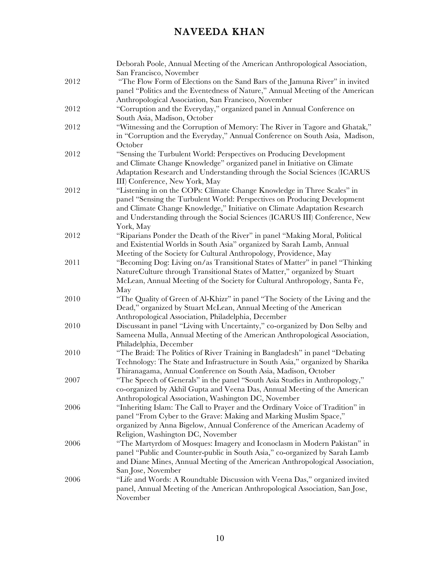|      | Deborah Poole, Annual Meeting of the American Anthropological Association,     |
|------|--------------------------------------------------------------------------------|
|      | San Francisco, November                                                        |
| 2012 | "The Flow Form of Elections on the Sand Bars of the Jamuna River" in invited   |
|      | panel "Politics and the Eventedness of Nature," Annual Meeting of the American |
|      | Anthropological Association, San Francisco, November                           |
| 2012 | "Corruption and the Everyday," organized panel in Annual Conference on         |
|      | South Asia, Madison, October                                                   |
| 2012 | "Witnessing and the Corruption of Memory: The River in Tagore and Ghatak,"     |
|      | in "Corruption and the Everyday," Annual Conference on South Asia, Madison,    |
|      | October                                                                        |
| 2012 | "Sensing the Turbulent World: Perspectives on Producing Development            |
|      | and Climate Change Knowledge" organized panel in Initiative on Climate         |
|      | Adaptation Research and Understanding through the Social Sciences (ICARUS      |
|      | III) Conference, New York, May                                                 |
| 2012 | "Listening in on the COPs: Climate Change Knowledge in Three Scales" in        |
|      | panel "Sensing the Turbulent World: Perspectives on Producing Development      |
|      | and Climate Change Knowledge," Initiative on Climate Adaptation Research       |
|      | and Understanding through the Social Sciences (ICARUS III) Conference, New     |
|      | York, May                                                                      |
| 2012 | "Riparians Ponder the Death of the River" in panel "Making Moral, Political    |
|      | and Existential Worlds in South Asia" organized by Sarah Lamb, Annual          |
|      | Meeting of the Society for Cultural Anthropology, Providence, May              |
| 2011 | "Becoming Dog: Living on/as Transitional States of Matter" in panel "Thinking  |
|      | NatureCulture through Transitional States of Matter," organized by Stuart      |
|      | McLean, Annual Meeting of the Society for Cultural Anthropology, Santa Fe,     |
|      | May                                                                            |
| 2010 | "The Quality of Green of Al-Khizr" in panel "The Society of the Living and the |
|      | Dead," organized by Stuart McLean, Annual Meeting of the American              |
|      | Anthropological Association, Philadelphia, December                            |
| 2010 | Discussant in panel "Living with Uncertainty," co-organized by Don Selby and   |
|      | Sameena Mulla, Annual Meeting of the American Anthropological Association,     |
|      | Philadelphia, December                                                         |
| 2010 | "The Braid: The Politics of River Training in Bangladesh" in panel "Debating   |
|      | Technology: The State and Infrastructure in South Asia," organized by Sharika  |
|      | Thiranagama, Annual Conference on South Asia, Madison, October                 |
| 2007 | "The Speech of Generals" in the panel "South Asia Studies in Anthropology,"    |
|      | co-organized by Akhil Gupta and Veena Das, Annual Meeting of the American      |
|      | Anthropological Association, Washington DC, November                           |
| 2006 | "Inheriting Islam: The Call to Prayer and the Ordinary Voice of Tradition" in  |
|      | panel "From Cyber to the Grave: Making and Marking Muslim Space,"              |
|      | organized by Anna Bigelow, Annual Conference of the American Academy of        |
|      | Religion, Washington DC, November                                              |
| 2006 | "The Martyrdom of Mosques: Imagery and Iconoclasm in Modern Pakistan" in       |
|      | panel "Public and Counter-public in South Asia," co-organized by Sarah Lamb    |
|      | and Diane Mines, Annual Meeting of the American Anthropological Association,   |
|      | San Jose, November                                                             |
| 2006 | "Life and Words: A Roundtable Discussion with Veena Das," organized invited    |
|      | panel, Annual Meeting of the American Anthropological Association, San Jose,   |
|      | November                                                                       |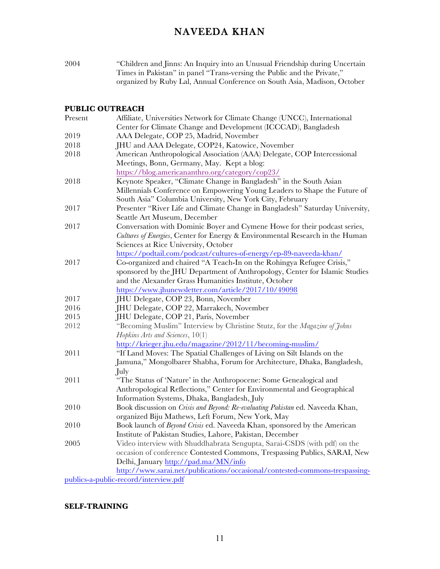2004 "Children and Jinns: An Inquiry into an Unusual Friendship during Uncertain Times in Pakistan" in panel "Trans-versing the Public and the Private," organized by Ruby Lal, Annual Conference on South Asia, Madison, October

#### **PUBLIC OUTREACH**

| Present | Affiliate, Universities Network for Climate Change (UNCC), International       |
|---------|--------------------------------------------------------------------------------|
|         | Center for Climate Change and Development (ICCCAD), Bangladesh                 |
| 2019    | AAA Delegate, COP 25, Madrid, November                                         |
| 2018    | JHU and AAA Delegate, COP24, Katowice, November                                |
| 2018    | American Anthropological Association (AAA) Delegate, COP Intercessional        |
|         | Meetings, Bonn, Germany, May. Kept a blog:                                     |
|         | https://blog.americananthro.org/category/cop23/                                |
| 2018    | Keynote Speaker, "Climate Change in Bangladesh" in the South Asian             |
|         | Millennials Conference on Empowering Young Leaders to Shape the Future of      |
|         | South Asia" Columbia University, New York City, February                       |
| 2017    | Presenter "River Life and Climate Change in Bangladesh" Saturday University,   |
|         | Seattle Art Museum, December                                                   |
| 2017    | Conversation with Dominic Boyer and Cymene Howe for their podcast series,      |
|         | Cultures of Energies, Center for Energy & Environmental Research in the Human  |
|         | Sciences at Rice University, October                                           |
|         | https://podtail.com/podcast/cultures-of-energy/ep-89-naveeda-khan/             |
| 2017    | Co-organized and chaired "A Teach-In on the Rohingya Refugee Crisis,"          |
|         | sponsored by the JHU Department of Anthropology, Center for Islamic Studies    |
|         | and the Alexander Grass Humanities Institute, October                          |
|         | https://www.jhunewsletter.com/article/2017/10/49098                            |
| 2017    | JHU Delegate, COP 23, Bonn, November                                           |
| 2016    | JHU Delegate, COP 22, Marrakech, November                                      |
| 2015    | JHU Delegate, COP 21, Paris, November                                          |
| 2012    | "Becoming Muslim" Interview by Christine Stutz, for the Magazine of Johns      |
|         | Hopkins Arts and Sciences, 10(1)                                               |
|         | http://krieger.jhu.edu/magazine/2012/11/becoming-muslim/                       |
| 2011    | "If Land Moves: The Spatial Challenges of Living on Silt Islands on the        |
|         | Jamuna," Mongolbarer Shabha, Forum for Architecture, Dhaka, Bangladesh,        |
|         | July                                                                           |
| 2011    | "The Status of 'Nature' in the Anthropocene: Some Genealogical and             |
|         | Anthropological Reflections," Center for Environmental and Geographical        |
|         | Information Systems, Dhaka, Bangladesh, July                                   |
| 2010    | Book discussion on Crisis and Beyond: Re-evaluating Pakistan ed. Naveeda Khan, |
|         | organized Biju Mathews, Left Forum, New York, May                              |
| 2010    | Book launch of Beyond Crisis ed. Naveeda Khan, sponsored by the American       |
|         | Institute of Pakistan Studies, Lahore, Pakistan, December                      |
| 2005    | Video interview with Shuddhabrata Sengupta, Sarai-CSDS (with pdf) on the       |
|         | occasion of conference Contested Commons, Trespassing Publics, SARAI, New      |
|         | Delhi, January http://pad.ma/MN/info                                           |
|         | http://www.sarai.net/publications/occasional/contested-commons-trespassing-    |
|         | publics-a-public-record/interview.pdf                                          |

#### **SELF-TRAINING**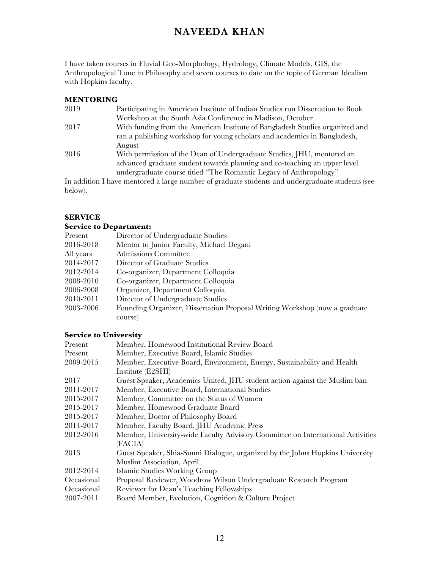I have taken courses in Fluvial Geo-Morphology, Hydrology, Climate Models, GIS, the Anthropological Tone in Philosophy and seven courses to date on the topic of German Idealism with Hopkins faculty.

#### **MENTORING**

| 2019 | Participating in American Institute of Indian Studies run Dissertation to Book |
|------|--------------------------------------------------------------------------------|
|      | Workshop at the South Asia Conference in Madison, October                      |
| 2017 | With funding from the American Institute of Bangladesh Studies organized and   |
|      | ran a publishing workshop for young scholars and academics in Bangladesh,      |
|      | August                                                                         |
| 2016 | With permission of the Dean of Undergraduate Studies, JHU, mentored an         |
|      | advanced graduate student towards planning and co-teaching an upper level      |
|      | undergraduate course titled "The Romantic Legacy of Anthropology"              |
|      |                                                                                |

In addition I have mentored a large number of graduate students and undergraduate students (see below).

#### **SERVICE**

#### **Service to Department:**

| Present   | Director of Undergraduate Studies                                          |
|-----------|----------------------------------------------------------------------------|
| 2016-2018 | Mentor to Junior Faculty, Michael Degani                                   |
| All years | Admissions Committee                                                       |
| 2014-2017 | Director of Graduate Studies                                               |
| 2012-2014 | Co-organizer, Department Colloquia                                         |
| 2008-2010 | Co-organizer, Department Colloquia                                         |
| 2006-2008 | Organizer, Department Colloquia                                            |
| 2010-2011 | Director of Undergraduate Studies                                          |
| 2003-2006 | Founding Organizer, Dissertation Proposal Writing Workshop (now a graduate |
|           | course)                                                                    |

### **Service to University**

| Present    | Member, Homewood Institutional Review Board                                    |
|------------|--------------------------------------------------------------------------------|
| Present    | Member, Executive Board, Islamic Studies                                       |
| 2009-2015  | Member, Executive Board, Environment, Energy, Sustainability and Health        |
|            | Institute (E2SHI)                                                              |
| 2017       | Guest Speaker, Academics United, JHU student action against the Muslim ban     |
| 2011-2017  | Member, Executive Board, International Studies                                 |
| 2015-2017  | Member, Committee on the Status of Women                                       |
| 2015-2017  | Member, Homewood Graduate Board                                                |
| 2015-2017  | Member, Doctor of Philosophy Board                                             |
| 2014-2017  | Member, Faculty Board, JHU Academic Press                                      |
| 2012-2016  | Member, University-wide Faculty Advisory Committee on International Activities |
|            | (FACIA)                                                                        |
| 2013       | Guest Speaker, Shia-Sunni Dialogue, organized by the Johns Hopkins University  |
|            | Muslim Association, April                                                      |
| 2012-2014  | Islamic Studies Working Group                                                  |
| Occasional | Proposal Reviewer, Woodrow Wilson Undergraduate Research Program               |
| Occasional | Reviewer for Dean's Teaching Fellowships                                       |
| 2007-2011  | Board Member, Evolution, Cognition & Culture Project                           |
|            |                                                                                |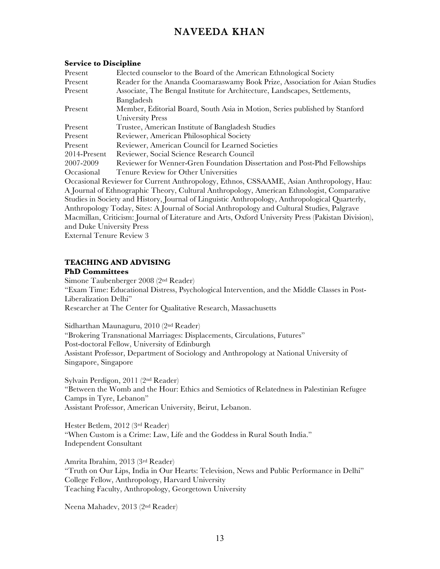#### **Service to Discipline**

| Present                                                                                 | Elected counselor to the Board of the American Ethnological Society          |
|-----------------------------------------------------------------------------------------|------------------------------------------------------------------------------|
| Present                                                                                 | Reader for the Ananda Coomaraswamy Book Prize, Association for Asian Studies |
| Present                                                                                 | Associate, The Bengal Institute for Architecture, Landscapes, Settlements,   |
|                                                                                         | Bangladesh                                                                   |
| Present                                                                                 | Member, Editorial Board, South Asia in Motion, Series published by Stanford  |
|                                                                                         | University Press                                                             |
| Present                                                                                 | Trustee, American Institute of Bangladesh Studies                            |
| Present                                                                                 | Reviewer, American Philosophical Society                                     |
| Present                                                                                 | Reviewer, American Council for Learned Societies                             |
| $2014$ -Present                                                                         | Reviewer, Social Science Research Council                                    |
| 2007-2009                                                                               | Reviewer for Wenner-Gren Foundation Dissertation and Post-Phd Fellowships    |
| Occasional                                                                              | Tenure Review for Other Universities                                         |
| Occasional Reviewer for Current Anthropology, Ethnos, CSSAAME, Asian Anthropology, Hau: |                                                                              |

A Journal of Ethnographic Theory, Cultural Anthropology, American Ethnologist, Comparative Studies in Society and History, Journal of Linguistic Anthropology, Anthropological Quarterly, Anthropology Today, Sites: A Journal of Social Anthropology and Cultural Studies, Palgrave Macmillan, Criticism: Journal of Literature and Arts, Oxford University Press (Pakistan Division), and Duke University Press External Tenure Review 3

#### **TEACHING AND ADVISING PhD Committees**

Simone Taubenberger 2008 (2nd Reader) "Exam Time: Educational Distress, Psychological Intervention, and the Middle Classes in Post-Liberalization Delhi" Researcher at The Center for Qualitative Research, Massachusetts

Sidharthan Maunaguru, 2010 (2nd Reader) "Brokering Transnational Marriages: Displacements, Circulations, Futures" Post-doctoral Fellow, University of Edinburgh Assistant Professor, Department of Sociology and Anthropology at National University of Singapore, Singapore

Sylvain Perdigon, 2011 (2nd Reader) "Between the Womb and the Hour: Ethics and Semiotics of Relatedness in Palestinian Refugee Camps in Tyre, Lebanon" Assistant Professor, American University, Beirut, Lebanon.

Hester Betlem, 2012 (3rd Reader) "When Custom is a Crime: Law, Life and the Goddess in Rural South India." Independent Consultant

Amrita Ibrahim, 2013 (3rd Reader) "Truth on Our Lips, India in Our Hearts: Television, News and Public Performance in Delhi" College Fellow, Anthropology, Harvard University Teaching Faculty, Anthropology, Georgetown University

Neena Mahadev, 2013 (2nd Reader)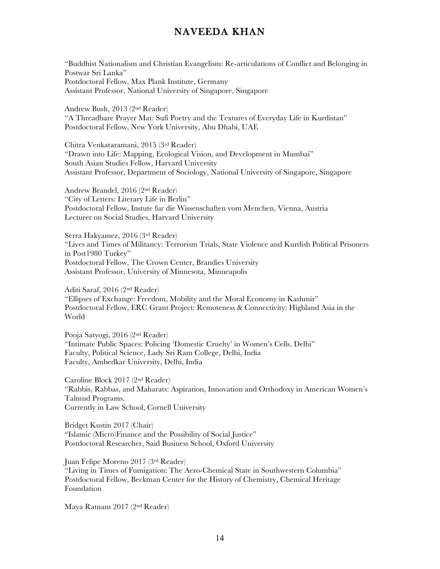"Buddhist Nationalism and Christian Evangelism: Re-articulations of Conflict and Belonging in Postwar Sri Lanka" Postdoctoral Fellow, Max Plank Institute, Germany Assistant Professor, National University of Singapore, Singapore

Andrew Bush, 2013 (2nd Reader) "A Threadbare Prayer Mat: Sufi Poetry and the Textures of Everyday Life in Kurdistan" Postdoctoral Fellow, New York University, Abu Dhabi, UAE

Chitra Venkataramani, 2015 (3rd Reader) "Drawn into Life: Mapping, Ecological Vision, and Development in Mumbai" South Asian Studies Fellow, Harvard University Assistant Professor, Department of Sociology, National University of Singapore, Singapore

Andrew Brandel, 2016 (2nd Reader) "City of Letters: Literary Life in Berlin" Postdoctoral Fellow, Instute fur die Wissenschaften vom Menchen, Vienna, Austria Lecturer on Social Studies, Harvard University

Serra Hakyamez, 2016 (3rd Reader) "Lives and Times of Militancy: Terrorism Trials, State Violence and Kurdish Political Prisoners in Post1980 Turkey" Postdoctoral Fellow, The Crown Center, Brandies University Assistant Professor, University of Minnesota, Minneapolis

Aditi Saraf, 2016 (2nd Reader) "Ellipses of Exchange: Freedom, Mobility and the Moral Economy in Kashmir" Postdoctoral Fellow, ERC Grant Project: Remoteness & Connectivity: Highland Asia in the World

Pooja Satyogi, 2016 (2nd Reader) "Intimate Public Spaces: Policing 'Domestic Cruelty' in Women's Cells, Delhi" Faculty, Political Science, Lady Sri Ram College, Delhi, India Faculty, Ambedkar University, Delhi, India

Caroline Block 2017 (2nd Reader) "Rabbis, Rabbas, and Maharats: Aspiration, Innovation and Orthodoxy in American Women's Talmud Programs. Currently in Law School, Cornell University

Bridget Kustin 2017 (Chair) "Islamic (Micro)Finance and the Possibility of Social Justice" Postdoctoral Researcher, Said Business School, Oxford University

Juan Felipe Moreno 2017 (3rd Reader)

"Living in Times of Fumigation: The Aero-Chemical State in Southwestern Columbia" Postdoctoral Fellow, Beckman Center for the History of Chemistry, Chemical Heritage Foundation

Maya Ratnam 2017 (2nd Reader)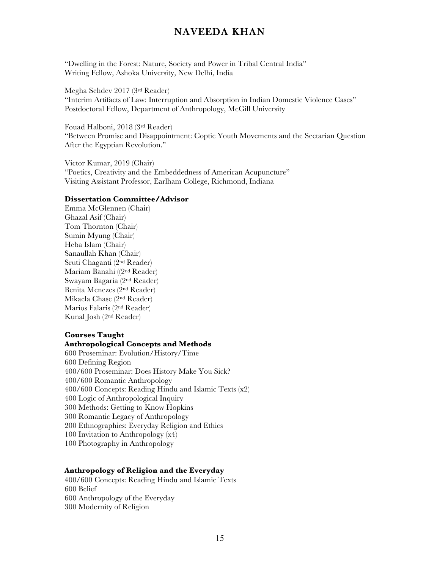"Dwelling in the Forest: Nature, Society and Power in Tribal Central India" Writing Fellow, Ashoka University, New Delhi, India

Megha Sehdev 2017 (3rd Reader) "Interim Artifacts of Law: Interruption and Absorption in Indian Domestic Violence Cases" Postdoctoral Fellow, Department of Anthropology, McGill University

Fouad Halboni, 2018 (3rd Reader) "Between Promise and Disappointment: Coptic Youth Movements and the Sectarian Question After the Egyptian Revolution."

Victor Kumar, 2019 (Chair) "Poetics, Creativity and the Embeddedness of American Acupuncture" Visiting Assistant Professor, Earlham College, Richmond, Indiana

#### **Dissertation Committee/Advisor**

Emma McGlennen (Chair) Ghazal Asif (Chair) Tom Thornton (Chair) Sumin Myung (Chair) Heba Islam (Chair) Sanaullah Khan (Chair) Sruti Chaganti (2nd Reader) Mariam Banahi ((2nd Reader) Swayam Bagaria (2nd Reader) Benita Menezes (2nd Reader) Mikaela Chase (2nd Reader) Marios Falaris (2nd Reader) Kunal Josh (2nd Reader)

#### **Courses Taught**

### **Anthropological Concepts and Methods**

600 Proseminar: Evolution/History/Time 600 Defining Region 400/600 Proseminar: Does History Make You Sick? 400/600 Romantic Anthropology 400/600 Concepts: Reading Hindu and Islamic Texts (x2) 400 Logic of Anthropological Inquiry 300 Methods: Getting to Know Hopkins 300 Romantic Legacy of Anthropology 200 Ethnographies: Everyday Religion and Ethics 100 Invitation to Anthropology (x4) 100 Photography in Anthropology

#### **Anthropology of Religion and the Everyday**

400/600 Concepts: Reading Hindu and Islamic Texts 600 Belief 600 Anthropology of the Everyday 300 Modernity of Religion